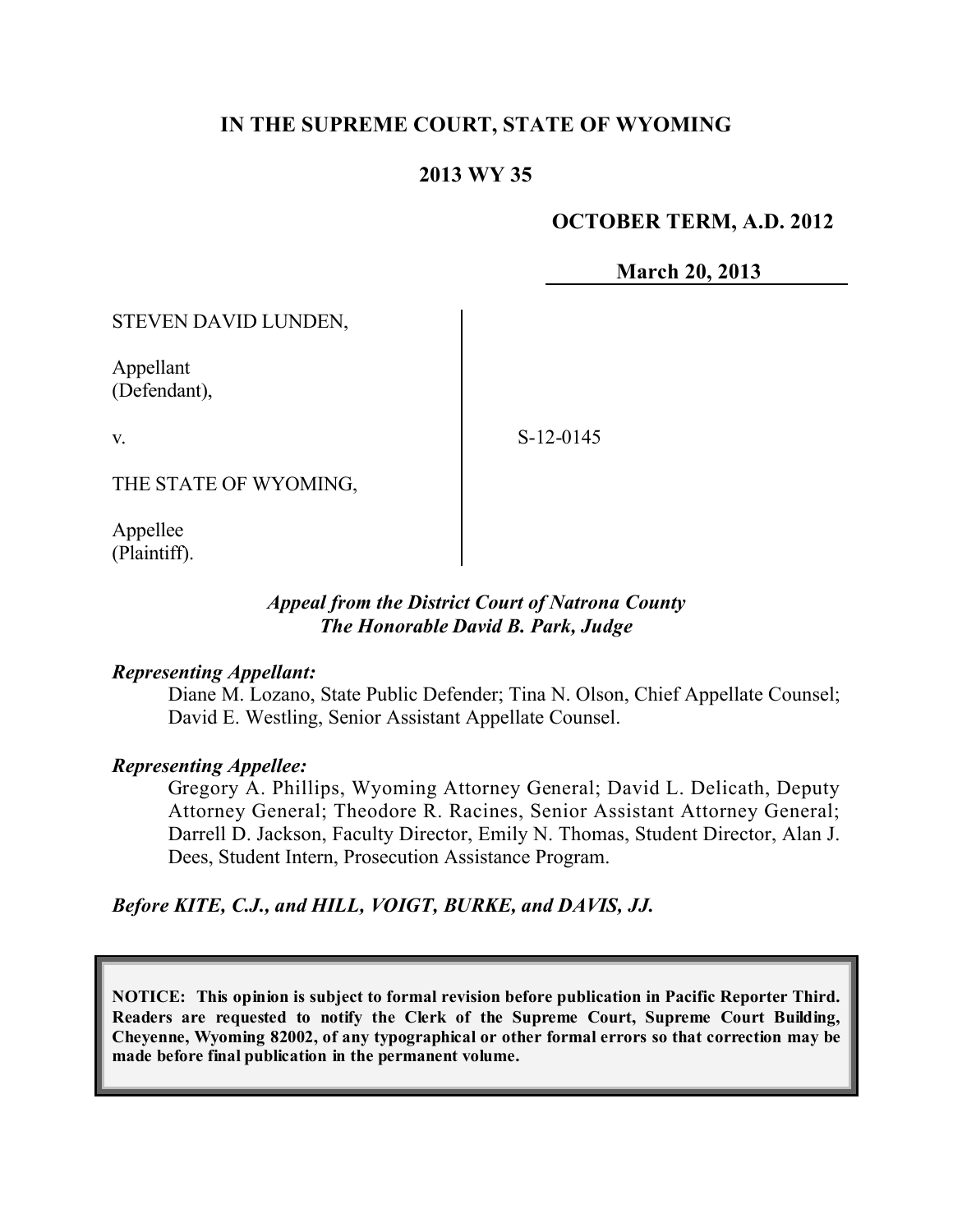# **IN THE SUPREME COURT, STATE OF WYOMING**

## **2013 WY 35**

### **OCTOBER TERM, A.D. 2012**

**March 20, 2013**

STEVEN DAVID LUNDEN,

Appellant (Defendant),

v.

S-12-0145

THE STATE OF WYOMING,

Appellee (Plaintiff).

### *Appeal from the District Court of Natrona County The Honorable David B. Park, Judge*

#### *Representing Appellant:*

Diane M. Lozano, State Public Defender; Tina N. Olson, Chief Appellate Counsel; David E. Westling, Senior Assistant Appellate Counsel.

### *Representing Appellee:*

Gregory A. Phillips, Wyoming Attorney General; David L. Delicath, Deputy Attorney General; Theodore R. Racines, Senior Assistant Attorney General; Darrell D. Jackson, Faculty Director, Emily N. Thomas, Student Director, Alan J. Dees, Student Intern, Prosecution Assistance Program.

### *Before KITE, C.J., and HILL, VOIGT, BURKE, and DAVIS, JJ.*

**NOTICE: This opinion is subject to formal revision before publication in Pacific Reporter Third. Readers are requested to notify the Clerk of the Supreme Court, Supreme Court Building, Cheyenne, Wyoming 82002, of any typographical or other formal errors so that correction may be made before final publication in the permanent volume.**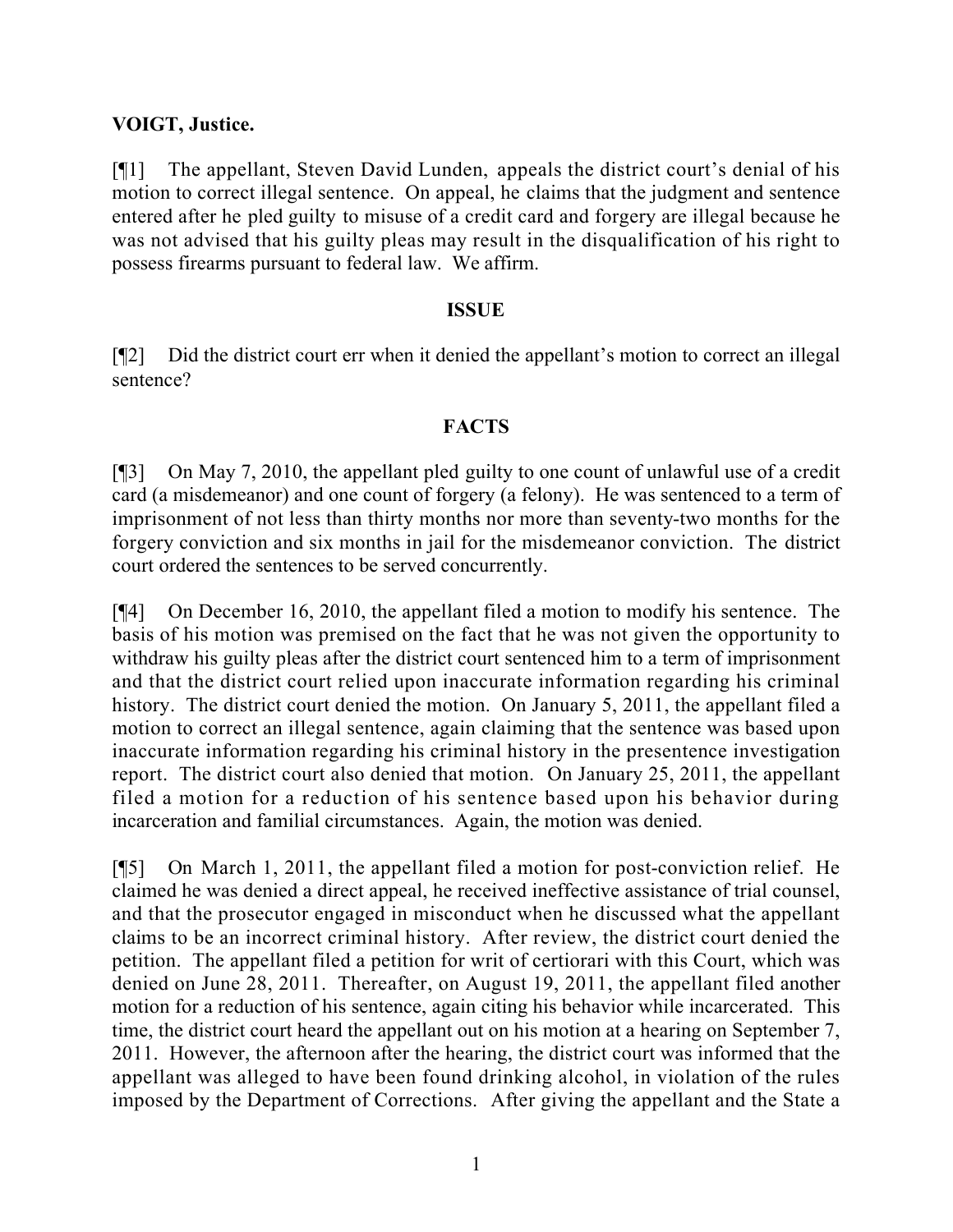### **VOIGT, Justice.**

[¶1] The appellant, Steven David Lunden, appeals the district court's denial of his motion to correct illegal sentence. On appeal, he claims that the judgment and sentence entered after he pled guilty to misuse of a credit card and forgery are illegal because he was not advised that his guilty pleas may result in the disqualification of his right to possess firearms pursuant to federal law. We affirm.

### **ISSUE**

[¶2] Did the district court err when it denied the appellant's motion to correct an illegal sentence?

### **FACTS**

[¶3] On May 7, 2010, the appellant pled guilty to one count of unlawful use of a credit card (a misdemeanor) and one count of forgery (a felony). He was sentenced to a term of imprisonment of not less than thirty months nor more than seventy-two months for the forgery conviction and six months in jail for the misdemeanor conviction. The district court ordered the sentences to be served concurrently.

[¶4] On December 16, 2010, the appellant filed a motion to modify his sentence. The basis of his motion was premised on the fact that he was not given the opportunity to withdraw his guilty pleas after the district court sentenced him to a term of imprisonment and that the district court relied upon inaccurate information regarding his criminal history. The district court denied the motion. On January 5, 2011, the appellant filed a motion to correct an illegal sentence, again claiming that the sentence was based upon inaccurate information regarding his criminal history in the presentence investigation report. The district court also denied that motion. On January 25, 2011, the appellant filed a motion for a reduction of his sentence based upon his behavior during incarceration and familial circumstances. Again, the motion was denied.

[¶5] On March 1, 2011, the appellant filed a motion for post-conviction relief. He claimed he was denied a direct appeal, he received ineffective assistance of trial counsel, and that the prosecutor engaged in misconduct when he discussed what the appellant claims to be an incorrect criminal history. After review, the district court denied the petition. The appellant filed a petition for writ of certiorari with this Court, which was denied on June 28, 2011. Thereafter, on August 19, 2011, the appellant filed another motion for a reduction of his sentence, again citing his behavior while incarcerated. This time, the district court heard the appellant out on his motion at a hearing on September 7, 2011. However, the afternoon after the hearing, the district court was informed that the appellant was alleged to have been found drinking alcohol, in violation of the rules imposed by the Department of Corrections. After giving the appellant and the State a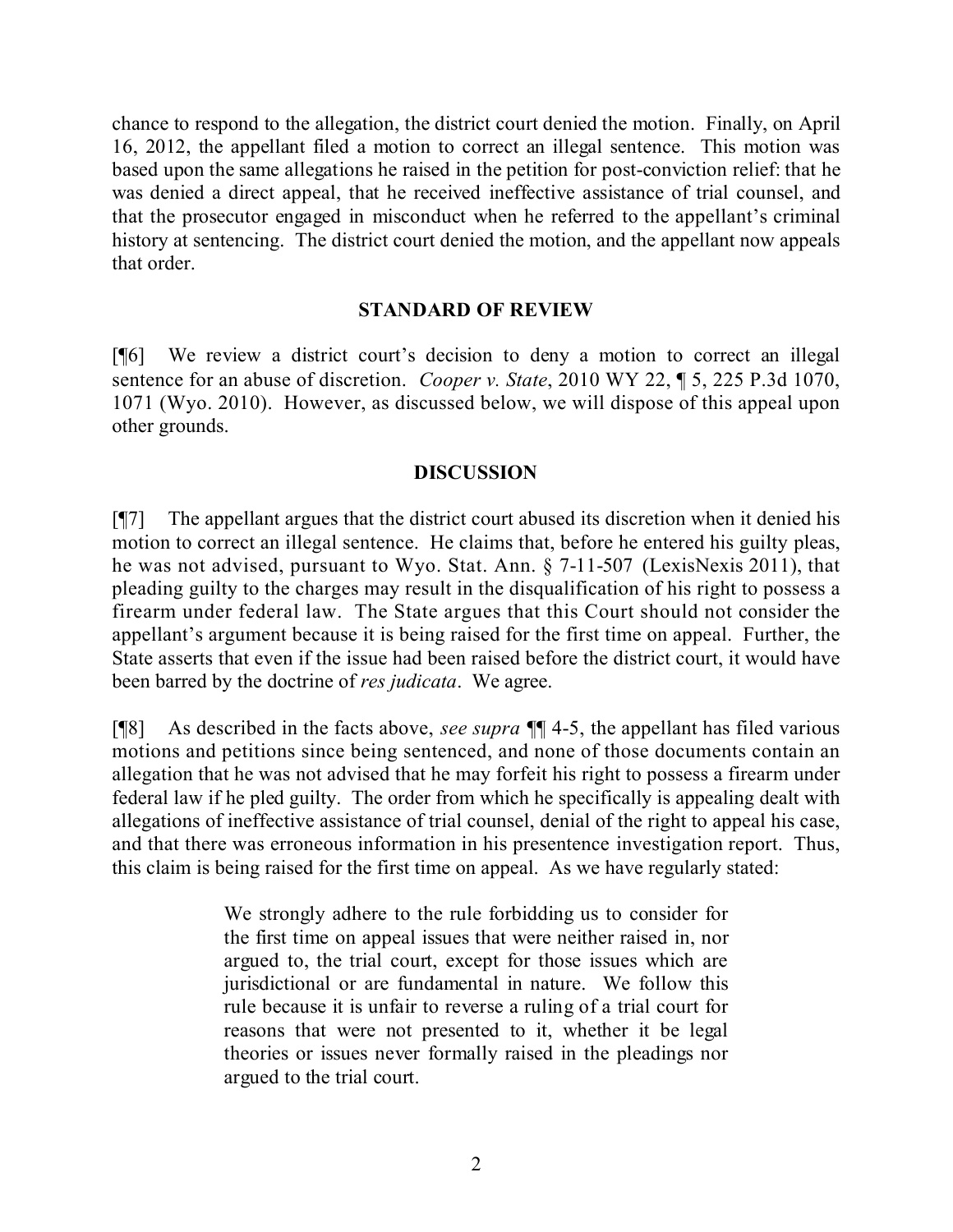chance to respond to the allegation, the district court denied the motion. Finally, on April 16, 2012, the appellant filed a motion to correct an illegal sentence. This motion was based upon the same allegations he raised in the petition for post-conviction relief: that he was denied a direct appeal, that he received ineffective assistance of trial counsel, and that the prosecutor engaged in misconduct when he referred to the appellant's criminal history at sentencing. The district court denied the motion, and the appellant now appeals that order.

### **STANDARD OF REVIEW**

[¶6] We review a district court's decision to deny a motion to correct an illegal sentence for an abuse of discretion. *Cooper v. State*, 2010 WY 22, ¶ 5, 225 P.3d 1070, 1071 (Wyo. 2010). However, as discussed below, we will dispose of this appeal upon other grounds.

### **DISCUSSION**

[¶7] The appellant argues that the district court abused its discretion when it denied his motion to correct an illegal sentence. He claims that, before he entered his guilty pleas, he was not advised, pursuant to Wyo. Stat. Ann. § 7-11-507 (LexisNexis 2011), that pleading guilty to the charges may result in the disqualification of his right to possess a firearm under federal law. The State argues that this Court should not consider the appellant's argument because it is being raised for the first time on appeal. Further, the State asserts that even if the issue had been raised before the district court, it would have been barred by the doctrine of *res judicata*. We agree.

[¶8] As described in the facts above, *see supra* ¶¶ 4-5, the appellant has filed various motions and petitions since being sentenced, and none of those documents contain an allegation that he was not advised that he may forfeit his right to possess a firearm under federal law if he pled guilty. The order from which he specifically is appealing dealt with allegations of ineffective assistance of trial counsel, denial of the right to appeal his case, and that there was erroneous information in his presentence investigation report. Thus, this claim is being raised for the first time on appeal. As we have regularly stated:

> We strongly adhere to the rule forbidding us to consider for the first time on appeal issues that were neither raised in, nor argued to, the trial court, except for those issues which are jurisdictional or are fundamental in nature. We follow this rule because it is unfair to reverse a ruling of a trial court for reasons that were not presented to it, whether it be legal theories or issues never formally raised in the pleadings nor argued to the trial court.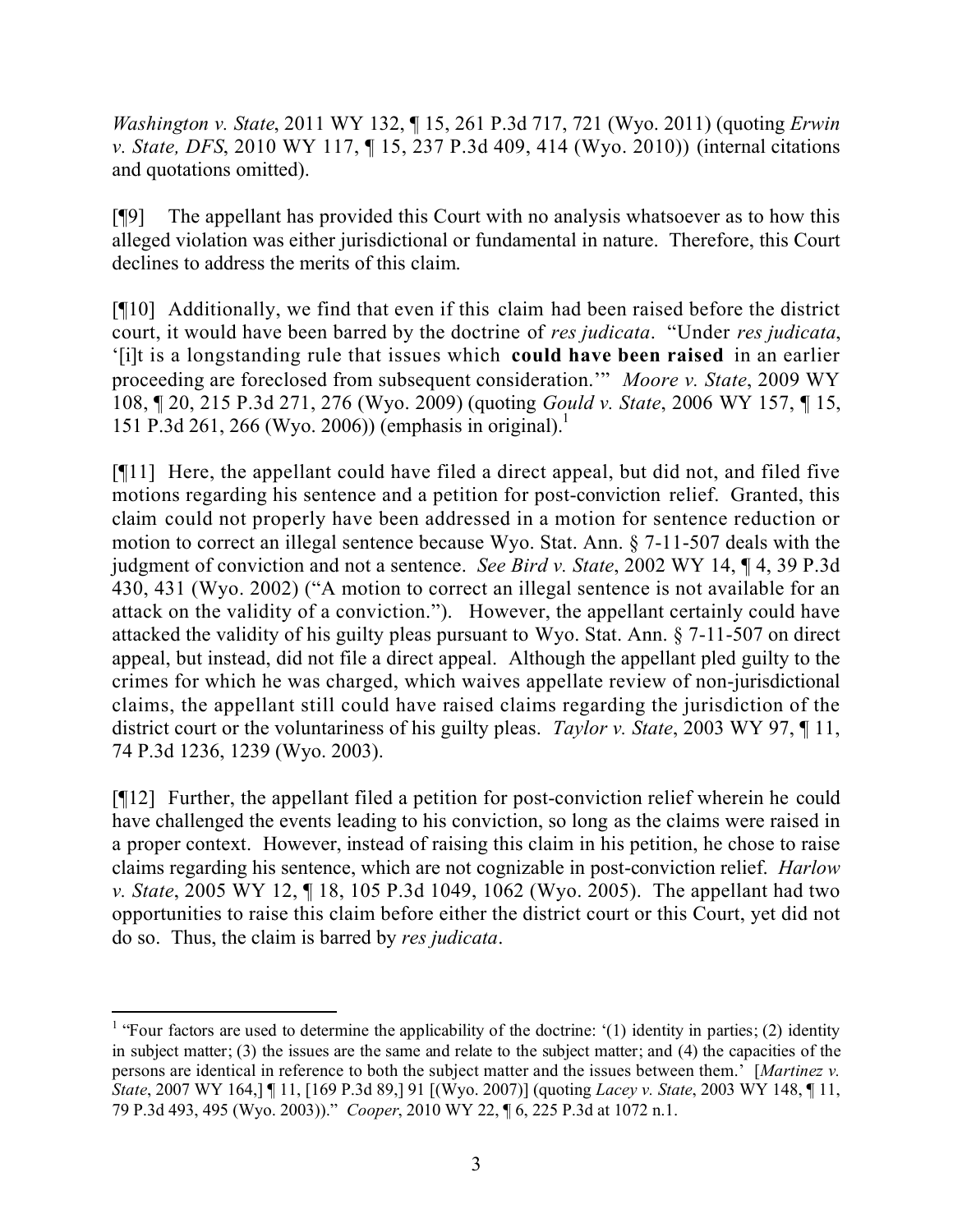*Washington v. State*, 2011 WY 132, ¶ 15, 261 P.3d 717, 721 (Wyo. 2011) (quoting *Erwin v. State, DFS*, 2010 WY 117, ¶ 15, 237 P.3d 409, 414 (Wyo. 2010)) (internal citations and quotations omitted).

[¶9] The appellant has provided this Court with no analysis whatsoever as to how this alleged violation was either jurisdictional or fundamental in nature. Therefore, this Court declines to address the merits of this claim.

[¶10] Additionally, we find that even if this claim had been raised before the district court, it would have been barred by the doctrine of *res judicata*. "Under *res judicata*, '[i]t is a longstanding rule that issues which **could have been raised** in an earlier proceeding are foreclosed from subsequent consideration.'" *Moore v. State*, 2009 WY 108, ¶ 20, 215 P.3d 271, 276 (Wyo. 2009) (quoting *Gould v. State*, 2006 WY 157, ¶ 15, 151 P.3d 261, 266 (Wyo. 2006)) (emphasis in original).<sup>1</sup>

[¶11] Here, the appellant could have filed a direct appeal, but did not, and filed five motions regarding his sentence and a petition for post-conviction relief. Granted, this claim could not properly have been addressed in a motion for sentence reduction or motion to correct an illegal sentence because Wyo. Stat. Ann. § 7-11-507 deals with the judgment of conviction and not a sentence. *See Bird v. State*, 2002 WY 14, ¶ 4, 39 P.3d 430, 431 (Wyo. 2002) ("A motion to correct an illegal sentence is not available for an attack on the validity of a conviction."). However, the appellant certainly could have attacked the validity of his guilty pleas pursuant to Wyo. Stat. Ann. § 7-11-507 on direct appeal, but instead, did not file a direct appeal. Although the appellant pled guilty to the crimes for which he was charged, which waives appellate review of non-jurisdictional claims, the appellant still could have raised claims regarding the jurisdiction of the district court or the voluntariness of his guilty pleas. *Taylor v. State*, 2003 WY 97, ¶ 11, 74 P.3d 1236, 1239 (Wyo. 2003).

[¶12] Further, the appellant filed a petition for post-conviction relief wherein he could have challenged the events leading to his conviction, so long as the claims were raised in a proper context. However, instead of raising this claim in his petition, he chose to raise claims regarding his sentence, which are not cognizable in post-conviction relief. *Harlow v. State*, 2005 WY 12, ¶ 18, 105 P.3d 1049, 1062 (Wyo. 2005). The appellant had two opportunities to raise this claim before either the district court or this Court, yet did not do so. Thus, the claim is barred by *res judicata*.

<sup>&</sup>lt;sup>1</sup> "Four factors are used to determine the applicability of the doctrine: '(1) identity in parties; (2) identity in subject matter; (3) the issues are the same and relate to the subject matter; and (4) the capacities of the persons are identical in reference to both the subject matter and the issues between them.' [*Martinez v. State*, 2007 WY 164,] ¶ 11, [169 P.3d 89,] 91 [(Wyo. 2007)] (quoting *Lacey v. State*, 2003 WY 148, ¶ 11, 79 P.3d 493, 495 (Wyo. 2003))." *Cooper*, 2010 WY 22, ¶ 6, 225 P.3d at 1072 n.1.